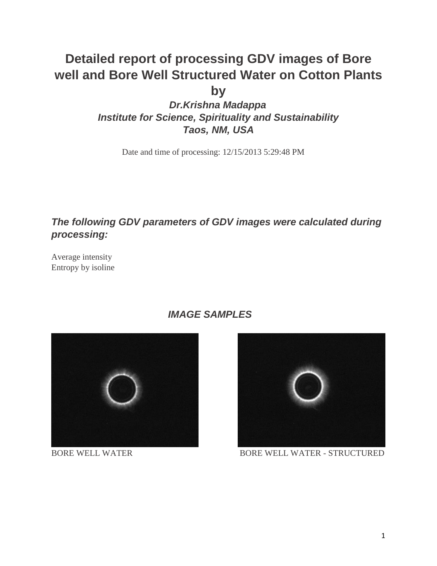# **Detailed report of processing GDV images of Bore well and Bore Well Structured Water on Cotton Plants**

**by**

*Dr.Krishna Madappa Institute for Science, Spirituality and Sustainability Taos, NM, USA*

Date and time of processing: 12/15/2013 5:29:48 PM

# *The following GDV parameters of GDV images were calculated during processing:*

Average intensity Entropy by isoline



 *IMAGE SAMPLES*



BORE WELL WATER BORE WELL WATER - STRUCTURED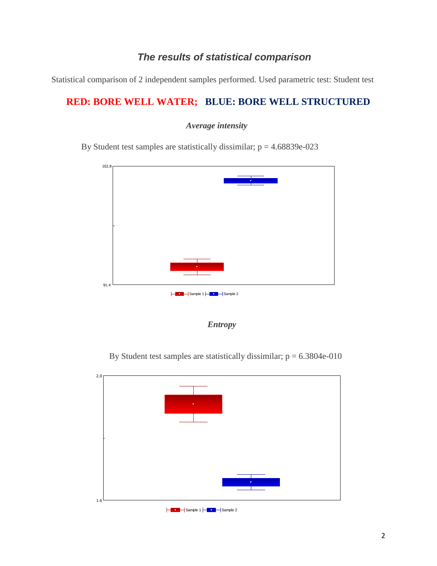### *The results of statistical comparison*

Statistical comparison of 2 independent samples performed. Used parametric test: Student test

## **RED: BORE WELL WATER; BLUE: BORE WELL STRUCTURED**

#### *Average intensity*

By Student test samples are statistically dissimilar;  $p = 4.68839e-023$ 



 *Entropy* 

By Student test samples are statistically dissimilar;  $p = 6.3804e-010$ 

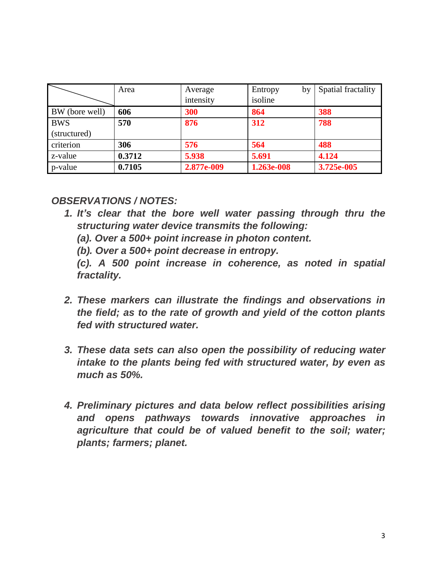|                | Area   | Average<br>intensity | Entropy<br>by<br>isoline | Spatial fractality |
|----------------|--------|----------------------|--------------------------|--------------------|
| BW (bore well) | 606    | 300                  | 864                      | 388                |
| <b>BWS</b>     | 570    | 876                  | 312                      | 788                |
| (structured)   |        |                      |                          |                    |
| criterion      | 306    | 576                  | 564                      | 488                |
| z-value        | 0.3712 | 5.938                | 5.691                    | 4.124              |
| p-value        | 0.7105 | 2.877e-009           | 1.263e-008               | 3.725e-005         |

#### *OBSERVATIONS / NOTES:*

- *1. It's clear that the bore well water passing through thru the structuring water device transmits the following:*
	- *(a). Over a 500+ point increase in photon content.*
	- *(b). Over a 500+ point decrease in entropy.*

*(c). A 500 point increase in coherence, as noted in spatial fractality.* 

- *2. These markers can illustrate the findings and observations in the field; as to the rate of growth and yield of the cotton plants fed with structured water.*
- *3. These data sets can also open the possibility of reducing water intake to the plants being fed with structured water, by even as much as 50%.*
- *4. Preliminary pictures and data below reflect possibilities arising and opens pathways towards innovative approaches in agriculture that could be of valued benefit to the soil; water; plants; farmers; planet.*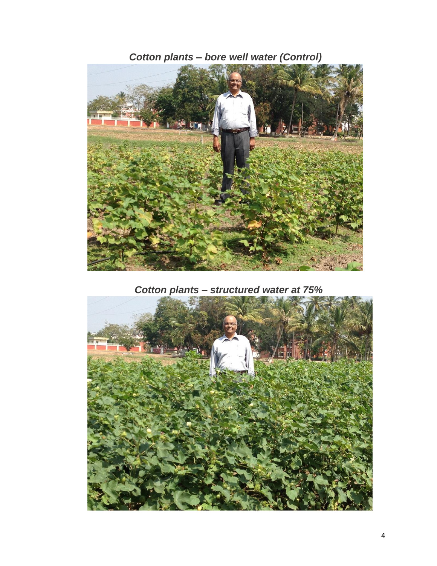*Cotton plants – bore well water (Control)*



 *Cotton plants – structured water at 75%* 

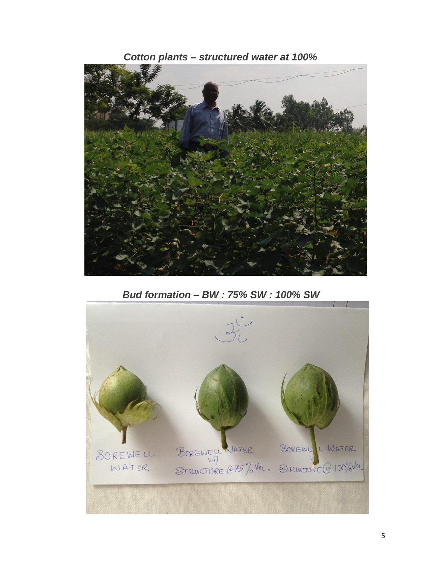



 *Bud formation – BW : 75% SW : 100% SW*